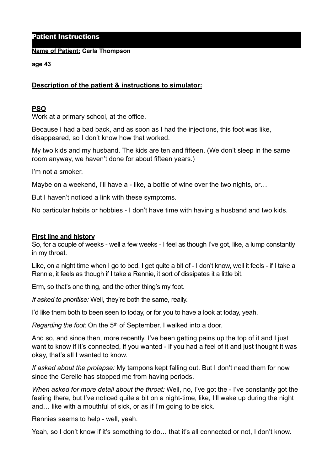# Patient Instructions

### **Name of Patient: Carla Thompson**

### **age 43**

# **Description of the patient & instructions to simulator:**

### **PSO**

Work at a primary school, at the office.

Because I had a bad back, and as soon as I had the injections, this foot was like, disappeared, so I don't know how that worked.

My two kids and my husband. The kids are ten and fifteen. (We don't sleep in the same room anyway, we haven't done for about fifteen years.)

I'm not a smoker.

Maybe on a weekend, I'll have a - like, a bottle of wine over the two nights, or...

But I haven't noticed a link with these symptoms.

No particular habits or hobbies - I don't have time with having a husband and two kids.

# **First line and history**

So, for a couple of weeks - well a few weeks - I feel as though I've got, like, a lump constantly in my throat.

Like, on a night time when I go to bed, I get quite a bit of - I don't know, well it feels - if I take a Rennie, it feels as though if I take a Rennie, it sort of dissipates it a little bit.

Erm, so that's one thing, and the other thing's my foot.

*If asked to prioritise:* Well, they're both the same, really.

I'd like them both to been seen to today, or for you to have a look at today, yeah.

*Regarding the foot:* On the 5th of September, I walked into a door.

And so, and since then, more recently, I've been getting pains up the top of it and I just want to know if it's connected, if you wanted - if you had a feel of it and just thought it was okay, that's all I wanted to know.

*If asked about the prolapse:* My tampons kept falling out. But I don't need them for now since the Cerelle has stopped me from having periods.

*When asked for more detail about the throat:* Well, no, I've got the - I've constantly got the feeling there, but I've noticed quite a bit on a night-time, like, I'll wake up during the night and… like with a mouthful of sick, or as if I'm going to be sick.

Rennies seems to help - well, yeah.

Yeah, so I don't know if it's something to do... that it's all connected or not, I don't know.